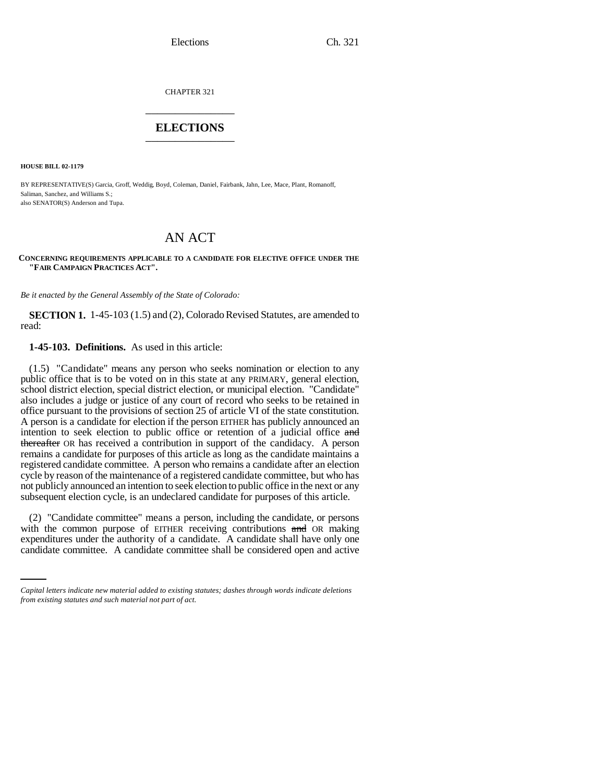Elections Ch. 321

CHAPTER 321 \_\_\_\_\_\_\_\_\_\_\_\_\_\_\_

## **ELECTIONS** \_\_\_\_\_\_\_\_\_\_\_\_\_\_\_

**HOUSE BILL 02-1179**

BY REPRESENTATIVE(S) Garcia, Groff, Weddig, Boyd, Coleman, Daniel, Fairbank, Jahn, Lee, Mace, Plant, Romanoff, Saliman, Sanchez, and Williams S.; also SENATOR(S) Anderson and Tupa.

## AN ACT

**CONCERNING REQUIREMENTS APPLICABLE TO A CANDIDATE FOR ELECTIVE OFFICE UNDER THE "FAIR CAMPAIGN PRACTICES ACT".**

*Be it enacted by the General Assembly of the State of Colorado:*

**SECTION 1.** 1-45-103 (1.5) and (2), Colorado Revised Statutes, are amended to read:

**1-45-103. Definitions.** As used in this article:

(1.5) "Candidate" means any person who seeks nomination or election to any public office that is to be voted on in this state at any PRIMARY, general election, school district election, special district election, or municipal election. "Candidate" also includes a judge or justice of any court of record who seeks to be retained in office pursuant to the provisions of section 25 of article VI of the state constitution. A person is a candidate for election if the person EITHER has publicly announced an intention to seek election to public office or retention of a judicial office and thereafter OR has received a contribution in support of the candidacy. A person remains a candidate for purposes of this article as long as the candidate maintains a registered candidate committee. A person who remains a candidate after an election cycle by reason of the maintenance of a registered candidate committee, but who has not publicly announced an intention to seek election to public office in the next or any subsequent election cycle, is an undeclared candidate for purposes of this article.

with the common purpose of EITHER receiving contributions and OR making (2) "Candidate committee" means a person, including the candidate, or persons expenditures under the authority of a candidate. A candidate shall have only one candidate committee. A candidate committee shall be considered open and active

*Capital letters indicate new material added to existing statutes; dashes through words indicate deletions from existing statutes and such material not part of act.*